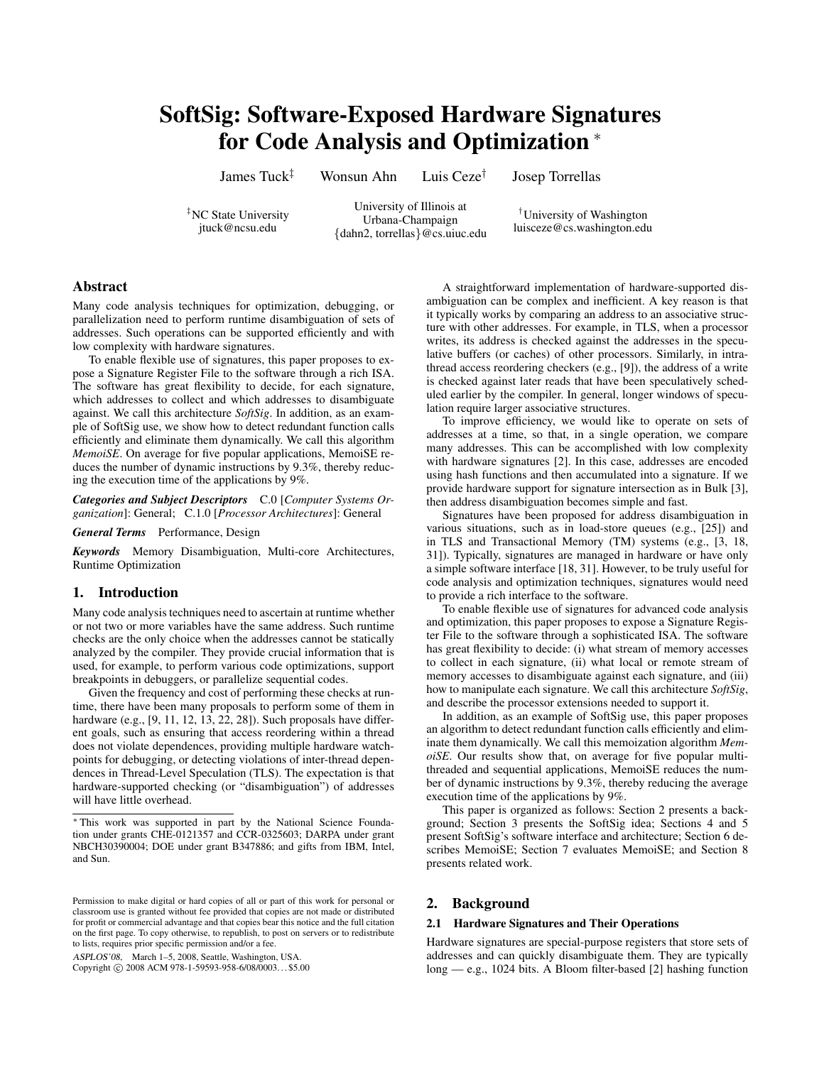# SoftSig: Software-Exposed Hardware Signatures for Code Analysis and Optimization <sup>∗</sup>

James Tuck<sup> $\ddagger$ </sup> Wonsun Ahn Luis Ceze<sup>†</sup>

Josep Torrellas

‡NC State University jtuck@ncsu.edu

University of Illinois at Urbana-Champaign {dahn2, torrellas}@cs.uiuc.edu

†University of Washington luisceze@cs.washington.edu

## Abstract

Many code analysis techniques for optimization, debugging, or parallelization need to perform runtime disambiguation of sets of addresses. Such operations can be supported efficiently and with low complexity with hardware signatures.

To enable flexible use of signatures, this paper proposes to expose a Signature Register File to the software through a rich ISA. The software has great flexibility to decide, for each signature, which addresses to collect and which addresses to disambiguate against. We call this architecture *SoftSig*. In addition, as an example of SoftSig use, we show how to detect redundant function calls efficiently and eliminate them dynamically. We call this algorithm *MemoiSE*. On average for five popular applications, MemoiSE reduces the number of dynamic instructions by 9.3%, thereby reducing the execution time of the applications by 9%.

*Categories and Subject Descriptors* C.0 [*Computer Systems Organization*]: General; C.1.0 [*Processor Architectures*]: General

*General Terms* Performance, Design

*Keywords* Memory Disambiguation, Multi-core Architectures, Runtime Optimization

## 1. Introduction

Many code analysis techniques need to ascertain at runtime whether or not two or more variables have the same address. Such runtime checks are the only choice when the addresses cannot be statically analyzed by the compiler. They provide crucial information that is used, for example, to perform various code optimizations, support breakpoints in debuggers, or parallelize sequential codes.

Given the frequency and cost of performing these checks at runtime, there have been many proposals to perform some of them in hardware (e.g., [9, 11, 12, 13, 22, 28]). Such proposals have different goals, such as ensuring that access reordering within a thread does not violate dependences, providing multiple hardware watchpoints for debugging, or detecting violations of inter-thread dependences in Thread-Level Speculation (TLS). The expectation is that hardware-supported checking (or "disambiguation") of addresses will have little overhead.

ASPLOS'08, March 1–5, 2008, Seattle, Washington, USA.

Copyright © 2008 ACM 978-1-59593-958-6/08/0003... \$5.00

A straightforward implementation of hardware-supported disambiguation can be complex and inefficient. A key reason is that it typically works by comparing an address to an associative structure with other addresses. For example, in TLS, when a processor writes, its address is checked against the addresses in the speculative buffers (or caches) of other processors. Similarly, in intrathread access reordering checkers (e.g., [9]), the address of a write is checked against later reads that have been speculatively scheduled earlier by the compiler. In general, longer windows of speculation require larger associative structures.

To improve efficiency, we would like to operate on sets of addresses at a time, so that, in a single operation, we compare many addresses. This can be accomplished with low complexity with hardware signatures [2]. In this case, addresses are encoded using hash functions and then accumulated into a signature. If we provide hardware support for signature intersection as in Bulk [3], then address disambiguation becomes simple and fast.

Signatures have been proposed for address disambiguation in various situations, such as in load-store queues (e.g., [25]) and in TLS and Transactional Memory (TM) systems (e.g., [3, 18, 31]). Typically, signatures are managed in hardware or have only a simple software interface [18, 31]. However, to be truly useful for code analysis and optimization techniques, signatures would need to provide a rich interface to the software.

To enable flexible use of signatures for advanced code analysis and optimization, this paper proposes to expose a Signature Register File to the software through a sophisticated ISA. The software has great flexibility to decide: (i) what stream of memory accesses to collect in each signature, (ii) what local or remote stream of memory accesses to disambiguate against each signature, and (iii) how to manipulate each signature. We call this architecture *SoftSig*, and describe the processor extensions needed to support it.

In addition, as an example of SoftSig use, this paper proposes an algorithm to detect redundant function calls efficiently and eliminate them dynamically. We call this memoization algorithm *MemoiSE*. Our results show that, on average for five popular multithreaded and sequential applications, MemoiSE reduces the number of dynamic instructions by 9.3%, thereby reducing the average execution time of the applications by 9%.

This paper is organized as follows: Section 2 presents a background; Section 3 presents the SoftSig idea; Sections 4 and 5 present SoftSig's software interface and architecture; Section 6 describes MemoiSE; Section 7 evaluates MemoiSE; and Section 8 presents related work.

## 2. Background

## 2.1 Hardware Signatures and Their Operations

Hardware signatures are special-purpose registers that store sets of addresses and can quickly disambiguate them. They are typically long — e.g., 1024 bits. A Bloom filter-based [2] hashing function

<sup>∗</sup> This work was supported in part by the National Science Foundation under grants CHE-0121357 and CCR-0325603; DARPA under grant NBCH30390004; DOE under grant B347886; and gifts from IBM, Intel, and Sun.

Permission to make digital or hard copies of all or part of this work for personal or classroom use is granted without fee provided that copies are not made or distributed for profit or commercial advantage and that copies bear this notice and the full citation on the first page. To copy otherwise, to republish, to post on servers or to redistribute to lists, requires prior specific permission and/or a fee.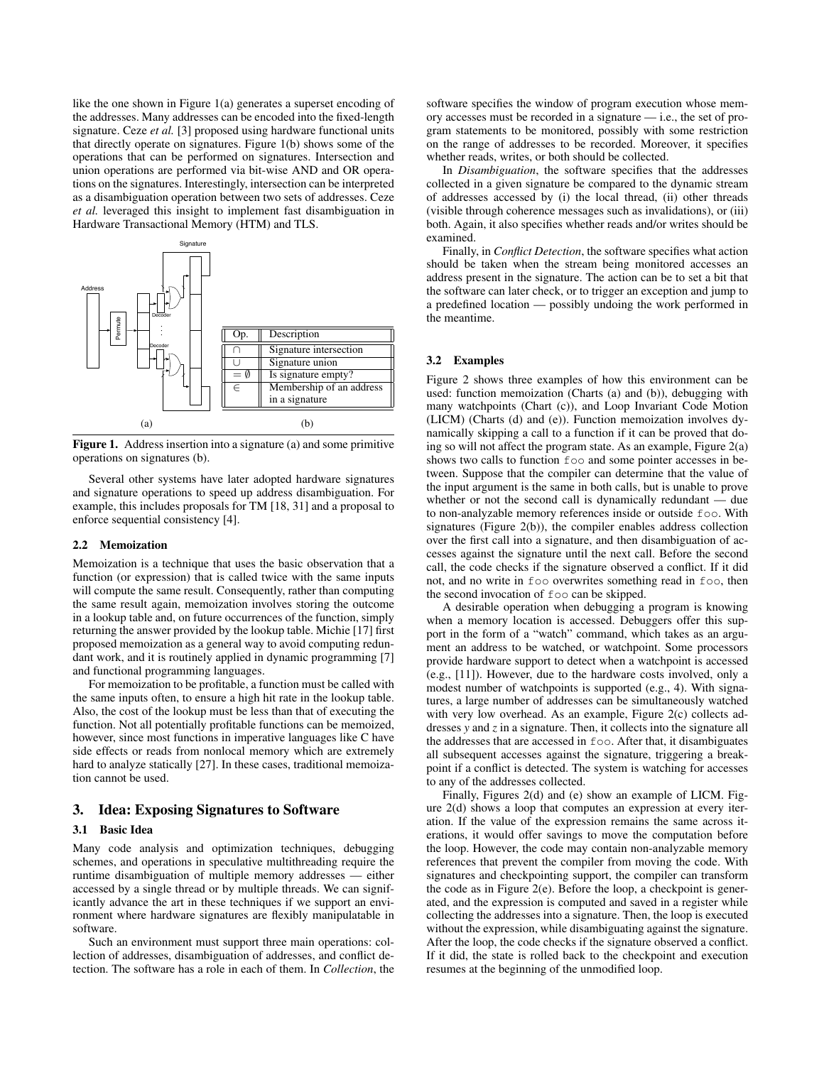like the one shown in Figure 1(a) generates a superset encoding of the addresses. Many addresses can be encoded into the fixed-length signature. Ceze *et al.* [3] proposed using hardware functional units that directly operate on signatures. Figure 1(b) shows some of the operations that can be performed on signatures. Intersection and union operations are performed via bit-wise AND and OR operations on the signatures. Interestingly, intersection can be interpreted as a disambiguation operation between two sets of addresses. Ceze *et al.* leveraged this insight to implement fast disambiguation in Hardware Transactional Memory (HTM) and TLS.



Figure 1. Address insertion into a signature (a) and some primitive operations on signatures (b).

Several other systems have later adopted hardware signatures and signature operations to speed up address disambiguation. For example, this includes proposals for TM [18, 31] and a proposal to enforce sequential consistency [4].

#### 2.2 Memoization

Memoization is a technique that uses the basic observation that a function (or expression) that is called twice with the same inputs will compute the same result. Consequently, rather than computing the same result again, memoization involves storing the outcome in a lookup table and, on future occurrences of the function, simply returning the answer provided by the lookup table. Michie [17] first proposed memoization as a general way to avoid computing redundant work, and it is routinely applied in dynamic programming [7] and functional programming languages.

For memoization to be profitable, a function must be called with the same inputs often, to ensure a high hit rate in the lookup table. Also, the cost of the lookup must be less than that of executing the function. Not all potentially profitable functions can be memoized, however, since most functions in imperative languages like C have side effects or reads from nonlocal memory which are extremely hard to analyze statically [27]. In these cases, traditional memoization cannot be used.

## 3. Idea: Exposing Signatures to Software

#### 3.1 Basic Idea

Many code analysis and optimization techniques, debugging schemes, and operations in speculative multithreading require the runtime disambiguation of multiple memory addresses — either accessed by a single thread or by multiple threads. We can significantly advance the art in these techniques if we support an environment where hardware signatures are flexibly manipulatable in software.

Such an environment must support three main operations: collection of addresses, disambiguation of addresses, and conflict detection. The software has a role in each of them. In *Collection*, the software specifies the window of program execution whose memory accesses must be recorded in a signature — i.e., the set of program statements to be monitored, possibly with some restriction on the range of addresses to be recorded. Moreover, it specifies whether reads, writes, or both should be collected.

In *Disambiguation*, the software specifies that the addresses collected in a given signature be compared to the dynamic stream of addresses accessed by (i) the local thread, (ii) other threads (visible through coherence messages such as invalidations), or (iii) both. Again, it also specifies whether reads and/or writes should be examined.

Finally, in *Conflict Detection*, the software specifies what action should be taken when the stream being monitored accesses an address present in the signature. The action can be to set a bit that the software can later check, or to trigger an exception and jump to a predefined location — possibly undoing the work performed in the meantime.

## 3.2 Examples

Figure 2 shows three examples of how this environment can be used: function memoization (Charts (a) and (b)), debugging with many watchpoints (Chart (c)), and Loop Invariant Code Motion (LICM) (Charts (d) and (e)). Function memoization involves dynamically skipping a call to a function if it can be proved that doing so will not affect the program state. As an example, Figure 2(a) shows two calls to function foo and some pointer accesses in between. Suppose that the compiler can determine that the value of the input argument is the same in both calls, but is unable to prove whether or not the second call is dynamically redundant — due to non-analyzable memory references inside or outside foo. With signatures (Figure 2(b)), the compiler enables address collection over the first call into a signature, and then disambiguation of accesses against the signature until the next call. Before the second call, the code checks if the signature observed a conflict. If it did not, and no write in foo overwrites something read in foo, then the second invocation of foo can be skipped.

A desirable operation when debugging a program is knowing when a memory location is accessed. Debuggers offer this support in the form of a "watch" command, which takes as an argument an address to be watched, or watchpoint. Some processors provide hardware support to detect when a watchpoint is accessed (e.g., [11]). However, due to the hardware costs involved, only a modest number of watchpoints is supported (e.g., 4). With signatures, a large number of addresses can be simultaneously watched with very low overhead. As an example, Figure 2(c) collects addresses *y* and *z* in a signature. Then, it collects into the signature all the addresses that are accessed in foo. After that, it disambiguates all subsequent accesses against the signature, triggering a breakpoint if a conflict is detected. The system is watching for accesses to any of the addresses collected.

Finally, Figures 2(d) and (e) show an example of LICM. Figure 2(d) shows a loop that computes an expression at every iteration. If the value of the expression remains the same across iterations, it would offer savings to move the computation before the loop. However, the code may contain non-analyzable memory references that prevent the compiler from moving the code. With signatures and checkpointing support, the compiler can transform the code as in Figure 2(e). Before the loop, a checkpoint is generated, and the expression is computed and saved in a register while collecting the addresses into a signature. Then, the loop is executed without the expression, while disambiguating against the signature. After the loop, the code checks if the signature observed a conflict. If it did, the state is rolled back to the checkpoint and execution resumes at the beginning of the unmodified loop.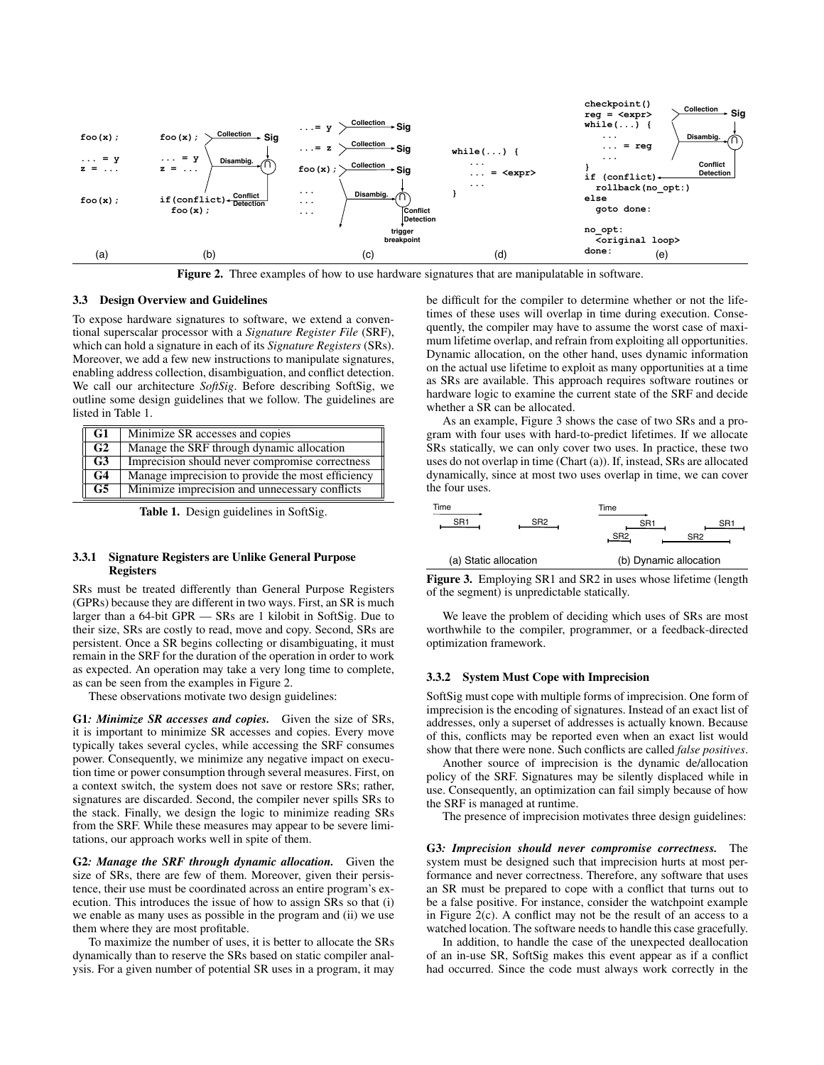

Figure 2. Three examples of how to use hardware signatures that are manipulatable in software.

#### 3.3 Design Overview and Guidelines

To expose hardware signatures to software, we extend a conventional superscalar processor with a *Signature Register File* (SRF), which can hold a signature in each of its *Signature Registers* (SRs). Moreover, we add a few new instructions to manipulate signatures, enabling address collection, disambiguation, and conflict detection. We call our architecture *SoftSig*. Before describing SoftSig, we outline some design guidelines that we follow. The guidelines are listed in Table 1.

| G1             | Minimize SR accesses and copies                   |  |  |  |  |
|----------------|---------------------------------------------------|--|--|--|--|
| G <sub>2</sub> | Manage the SRF through dynamic allocation         |  |  |  |  |
| G <sub>3</sub> | Imprecision should never compromise correctness   |  |  |  |  |
| G4             | Manage imprecision to provide the most efficiency |  |  |  |  |
| G <sub>5</sub> | Minimize imprecision and unnecessary conflicts    |  |  |  |  |

Table 1. Design guidelines in SoftSig.

## 3.3.1 Signature Registers are Unlike General Purpose Registers

SRs must be treated differently than General Purpose Registers (GPRs) because they are different in two ways. First, an SR is much larger than a 64-bit GPR — SRs are 1 kilobit in SoftSig. Due to their size, SRs are costly to read, move and copy. Second, SRs are persistent. Once a SR begins collecting or disambiguating, it must remain in the SRF for the duration of the operation in order to work as expected. An operation may take a very long time to complete, as can be seen from the examples in Figure 2.

These observations motivate two design guidelines:

G1*: Minimize SR accesses and copies.* Given the size of SRs, it is important to minimize SR accesses and copies. Every move typically takes several cycles, while accessing the SRF consumes power. Consequently, we minimize any negative impact on execution time or power consumption through several measures. First, on a context switch, the system does not save or restore SRs; rather, signatures are discarded. Second, the compiler never spills SRs to the stack. Finally, we design the logic to minimize reading SRs from the SRF. While these measures may appear to be severe limitations, our approach works well in spite of them.

G2*: Manage the SRF through dynamic allocation.* Given the size of SRs, there are few of them. Moreover, given their persistence, their use must be coordinated across an entire program's execution. This introduces the issue of how to assign SRs so that (i) we enable as many uses as possible in the program and (ii) we use them where they are most profitable.

To maximize the number of uses, it is better to allocate the SRs dynamically than to reserve the SRs based on static compiler analysis. For a given number of potential SR uses in a program, it may be difficult for the compiler to determine whether or not the lifetimes of these uses will overlap in time during execution. Consequently, the compiler may have to assume the worst case of maximum lifetime overlap, and refrain from exploiting all opportunities. Dynamic allocation, on the other hand, uses dynamic information on the actual use lifetime to exploit as many opportunities at a time as SRs are available. This approach requires software routines or hardware logic to examine the current state of the SRF and decide whether a SR can be allocated.

As an example, Figure 3 shows the case of two SRs and a program with four uses with hard-to-predict lifetimes. If we allocate SRs statically, we can only cover two uses. In practice, these two uses do not overlap in time (Chart (a)). If, instead, SRs are allocated dynamically, since at most two uses overlap in time, we can cover the four uses.

| Time<br>SR <sub>1</sub><br>SR2 | Time<br>SR1<br>SR1<br>SR <sub>2</sub><br>SR <sub>2</sub> |
|--------------------------------|----------------------------------------------------------|
| (a) Static allocation          | (b) Dynamic allocation                                   |

Figure 3. Employing SR1 and SR2 in uses whose lifetime (length of the segment) is unpredictable statically.

We leave the problem of deciding which uses of SRs are most worthwhile to the compiler, programmer, or a feedback-directed optimization framework.

#### 3.3.2 System Must Cope with Imprecision

SoftSig must cope with multiple forms of imprecision. One form of imprecision is the encoding of signatures. Instead of an exact list of addresses, only a superset of addresses is actually known. Because of this, conflicts may be reported even when an exact list would show that there were none. Such conflicts are called *false positives*.

Another source of imprecision is the dynamic de/allocation policy of the SRF. Signatures may be silently displaced while in use. Consequently, an optimization can fail simply because of how the SRF is managed at runtime.

The presence of imprecision motivates three design guidelines:

G3*: Imprecision should never compromise correctness.* The system must be designed such that imprecision hurts at most performance and never correctness. Therefore, any software that uses an SR must be prepared to cope with a conflict that turns out to be a false positive. For instance, consider the watchpoint example in Figure  $2(c)$ . A conflict may not be the result of an access to a watched location. The software needs to handle this case gracefully.

In addition, to handle the case of the unexpected deallocation of an in-use SR, SoftSig makes this event appear as if a conflict had occurred. Since the code must always work correctly in the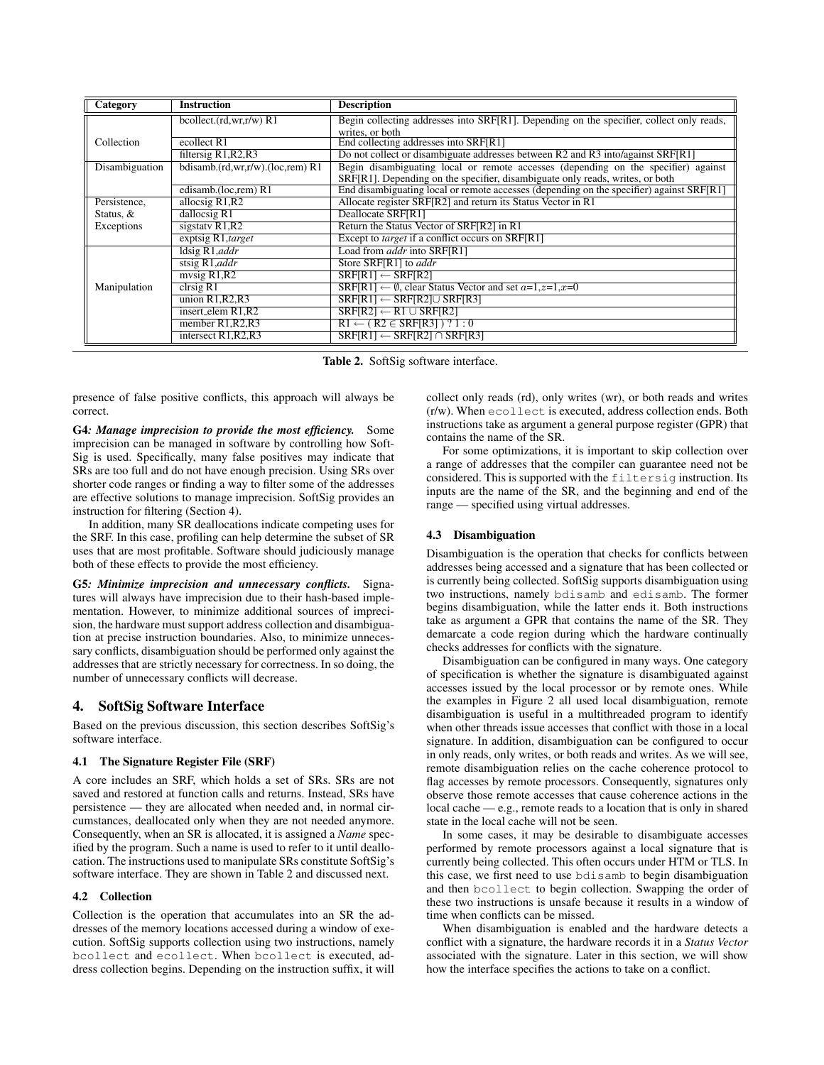| Category       | <b>Instruction</b>                                                                                                               | <b>Description</b>                                                                          |  |  |  |  |
|----------------|----------------------------------------------------------------------------------------------------------------------------------|---------------------------------------------------------------------------------------------|--|--|--|--|
|                | bcollect.(rd, wr, r/w) R1                                                                                                        | Begin collecting addresses into $SRF[R1]$ . Depending on the specifier, collect only reads, |  |  |  |  |
|                |                                                                                                                                  | writes, or both                                                                             |  |  |  |  |
| Collection     | ecollect R1                                                                                                                      | End collecting addresses into SRF[R1]                                                       |  |  |  |  |
|                | filtersig $R1, R2, R3$                                                                                                           | Do not collect or disambiguate addresses between R2 and R3 into/against SRF[R1]             |  |  |  |  |
| Disambiguation | bdisamb. $(rd, wr, r/w)$ . $(loc, rem)$ R1<br>Begin disambiguating local or remote accesses (depending on the specifier) against |                                                                                             |  |  |  |  |
|                |                                                                                                                                  | SRF[R1]. Depending on the specifier, disambiguate only reads, writes, or both               |  |  |  |  |
|                | edisamb.(loc.rem) R1                                                                                                             | End disambiguating local or remote accesses (depending on the specifier) against SRF[R1]    |  |  |  |  |
| Persistence,   | allocsig R1, R2                                                                                                                  | Allocate register SRF[R2] and return its Status Vector in R1                                |  |  |  |  |
| Status, $&$    | dallocsig R1                                                                                                                     | Deallocate SRF[R1]                                                                          |  |  |  |  |
| Exceptions     | sigstaty R1, R2                                                                                                                  | Return the Status Vector of SRF[R2] in R1                                                   |  |  |  |  |
|                | exptsig R1, target                                                                                                               | Except to <i>target</i> if a conflict occurs on SRF[R1]                                     |  |  |  |  |
|                | Idsig R1,addr                                                                                                                    | Load from <i>addr</i> into SRF[R1]                                                          |  |  |  |  |
|                | stsig R1,addr                                                                                                                    | Store SRF[R1] to <i>addr</i>                                                                |  |  |  |  |
|                | mysig R1, R2                                                                                                                     | $SRF[R1] \leftarrow SRF[R2]$                                                                |  |  |  |  |
| Manipulation   | clrsig $R1$                                                                                                                      | $SRF[R1] \leftarrow \emptyset$ , clear Status Vector and set $a=1, z=1, x=0$                |  |  |  |  |
|                | union $R1, R2, R3$                                                                                                               | $SRF[R1] \leftarrow SRF[R2] \cup SRF[R3]$                                                   |  |  |  |  |
|                | insert_elem $R1, R2$                                                                                                             | $SRF[R2] \leftarrow R1 \cup SRF[R2]$                                                        |  |  |  |  |
|                | member $R1, R2, R3$                                                                                                              | $R1 \leftarrow (R2 \in SRF[R3])$ ? 1 : 0                                                    |  |  |  |  |
|                | intersect $R1, R2, R3$                                                                                                           | $SRF[R1] \leftarrow SRF[R2] \cap SRF[R3]$                                                   |  |  |  |  |

Table 2. SoftSig software interface.

presence of false positive conflicts, this approach will always be correct.

G4*: Manage imprecision to provide the most efficiency.* Some imprecision can be managed in software by controlling how Soft-Sig is used. Specifically, many false positives may indicate that SRs are too full and do not have enough precision. Using SRs over shorter code ranges or finding a way to filter some of the addresses are effective solutions to manage imprecision. SoftSig provides an instruction for filtering (Section 4).

In addition, many SR deallocations indicate competing uses for the SRF. In this case, profiling can help determine the subset of SR uses that are most profitable. Software should judiciously manage both of these effects to provide the most efficiency.

G5*: Minimize imprecision and unnecessary conflicts.* Signatures will always have imprecision due to their hash-based implementation. However, to minimize additional sources of imprecision, the hardware must support address collection and disambiguation at precise instruction boundaries. Also, to minimize unnecessary conflicts, disambiguation should be performed only against the addresses that are strictly necessary for correctness. In so doing, the number of unnecessary conflicts will decrease.

## 4. SoftSig Software Interface

Based on the previous discussion, this section describes SoftSig's software interface.

## 4.1 The Signature Register File (SRF)

A core includes an SRF, which holds a set of SRs. SRs are not saved and restored at function calls and returns. Instead, SRs have persistence — they are allocated when needed and, in normal circumstances, deallocated only when they are not needed anymore. Consequently, when an SR is allocated, it is assigned a *Name* specified by the program. Such a name is used to refer to it until deallocation. The instructions used to manipulate SRs constitute SoftSig's software interface. They are shown in Table 2 and discussed next.

#### 4.2 Collection

Collection is the operation that accumulates into an SR the addresses of the memory locations accessed during a window of execution. SoftSig supports collection using two instructions, namely bcollect and ecollect. When bcollect is executed, address collection begins. Depending on the instruction suffix, it will collect only reads (rd), only writes (wr), or both reads and writes (r/w). When ecollect is executed, address collection ends. Both instructions take as argument a general purpose register (GPR) that contains the name of the SR.

For some optimizations, it is important to skip collection over a range of addresses that the compiler can guarantee need not be considered. This is supported with the filtersig instruction. Its inputs are the name of the SR, and the beginning and end of the range — specified using virtual addresses.

#### 4.3 Disambiguation

Disambiguation is the operation that checks for conflicts between addresses being accessed and a signature that has been collected or is currently being collected. SoftSig supports disambiguation using two instructions, namely bdisamb and edisamb. The former begins disambiguation, while the latter ends it. Both instructions take as argument a GPR that contains the name of the SR. They demarcate a code region during which the hardware continually checks addresses for conflicts with the signature.

Disambiguation can be configured in many ways. One category of specification is whether the signature is disambiguated against accesses issued by the local processor or by remote ones. While the examples in Figure 2 all used local disambiguation, remote disambiguation is useful in a multithreaded program to identify when other threads issue accesses that conflict with those in a local signature. In addition, disambiguation can be configured to occur in only reads, only writes, or both reads and writes. As we will see, remote disambiguation relies on the cache coherence protocol to flag accesses by remote processors. Consequently, signatures only observe those remote accesses that cause coherence actions in the local cache — e.g., remote reads to a location that is only in shared state in the local cache will not be seen.

In some cases, it may be desirable to disambiguate accesses performed by remote processors against a local signature that is currently being collected. This often occurs under HTM or TLS. In this case, we first need to use bdisamb to begin disambiguation and then bcollect to begin collection. Swapping the order of these two instructions is unsafe because it results in a window of time when conflicts can be missed.

When disambiguation is enabled and the hardware detects a conflict with a signature, the hardware records it in a *Status Vector* associated with the signature. Later in this section, we will show how the interface specifies the actions to take on a conflict.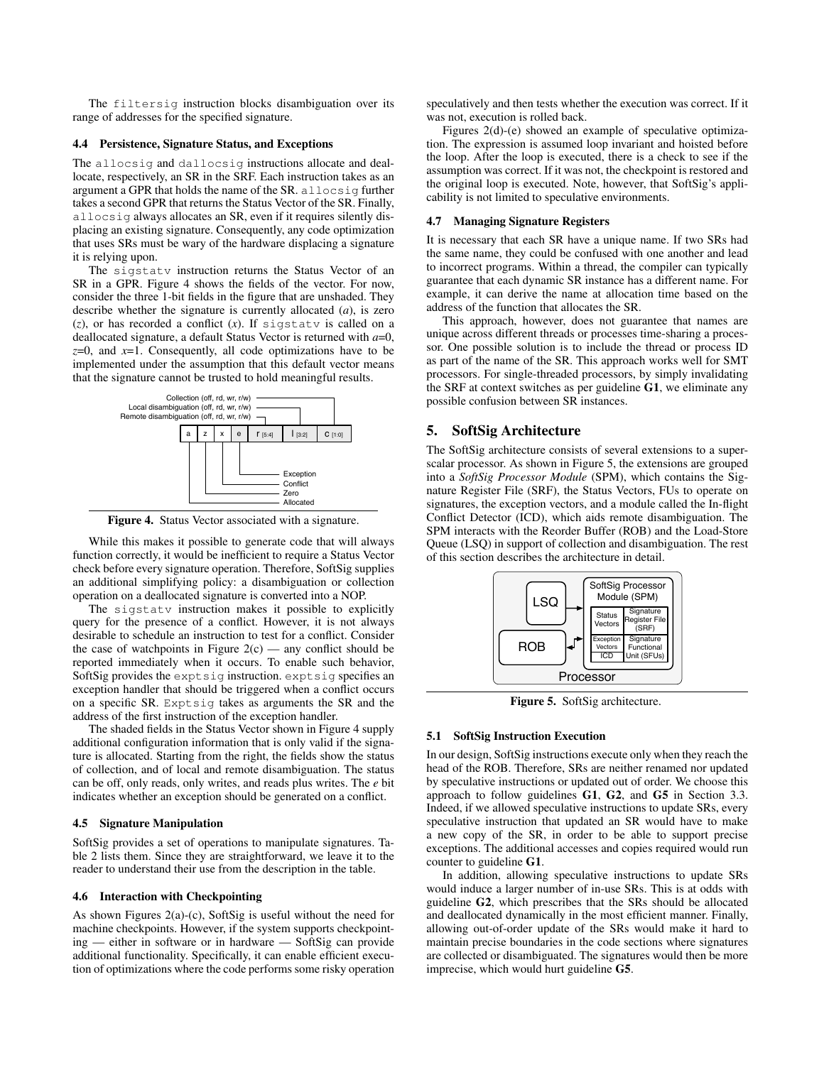The filtersig instruction blocks disambiguation over its range of addresses for the specified signature.

#### 4.4 Persistence, Signature Status, and Exceptions

The allocsig and dallocsig instructions allocate and deallocate, respectively, an SR in the SRF. Each instruction takes as an argument a GPR that holds the name of the SR. allocsig further takes a second GPR that returns the Status Vector of the SR. Finally, allocsig always allocates an SR, even if it requires silently displacing an existing signature. Consequently, any code optimization that uses SRs must be wary of the hardware displacing a signature it is relying upon.

The sigstatv instruction returns the Status Vector of an SR in a GPR. Figure 4 shows the fields of the vector. For now, consider the three 1-bit fields in the figure that are unshaded. They describe whether the signature is currently allocated (*a*), is zero  $(z)$ , or has recorded a conflict  $(x)$ . If sigstaty is called on a deallocated signature, a default Status Vector is returned with *a*=0,  $z=0$ , and  $x=1$ . Consequently, all code optimizations have to be implemented under the assumption that this default vector means that the signature cannot be trusted to hold meaningful results.



Figure 4. Status Vector associated with a signature.

While this makes it possible to generate code that will always function correctly, it would be inefficient to require a Status Vector check before every signature operation. Therefore, SoftSig supplies an additional simplifying policy: a disambiguation or collection operation on a deallocated signature is converted into a NOP.

The sigstatv instruction makes it possible to explicitly query for the presence of a conflict. However, it is not always desirable to schedule an instruction to test for a conflict. Consider the case of watchpoints in Figure  $2(c)$  — any conflict should be reported immediately when it occurs. To enable such behavior, SoftSig provides the exptsig instruction. exptsig specifies an exception handler that should be triggered when a conflict occurs on a specific SR. Exptsig takes as arguments the SR and the address of the first instruction of the exception handler.

The shaded fields in the Status Vector shown in Figure 4 supply additional configuration information that is only valid if the signature is allocated. Starting from the right, the fields show the status of collection, and of local and remote disambiguation. The status can be off, only reads, only writes, and reads plus writes. The *e* bit indicates whether an exception should be generated on a conflict.

#### 4.5 Signature Manipulation

SoftSig provides a set of operations to manipulate signatures. Table 2 lists them. Since they are straightforward, we leave it to the reader to understand their use from the description in the table.

#### 4.6 Interaction with Checkpointing

As shown Figures 2(a)-(c), SoftSig is useful without the need for machine checkpoints. However, if the system supports checkpointing — either in software or in hardware — SoftSig can provide additional functionality. Specifically, it can enable efficient execution of optimizations where the code performs some risky operation speculatively and then tests whether the execution was correct. If it was not, execution is rolled back.

Figures 2(d)-(e) showed an example of speculative optimization. The expression is assumed loop invariant and hoisted before the loop. After the loop is executed, there is a check to see if the assumption was correct. If it was not, the checkpoint is restored and the original loop is executed. Note, however, that SoftSig's applicability is not limited to speculative environments.

#### 4.7 Managing Signature Registers

It is necessary that each SR have a unique name. If two SRs had the same name, they could be confused with one another and lead to incorrect programs. Within a thread, the compiler can typically guarantee that each dynamic SR instance has a different name. For example, it can derive the name at allocation time based on the address of the function that allocates the SR.

This approach, however, does not guarantee that names are unique across different threads or processes time-sharing a processor. One possible solution is to include the thread or process ID as part of the name of the SR. This approach works well for SMT processors. For single-threaded processors, by simply invalidating the SRF at context switches as per guideline G1, we eliminate any possible confusion between SR instances.

## 5. SoftSig Architecture

The SoftSig architecture consists of several extensions to a superscalar processor. As shown in Figure 5, the extensions are grouped into a *SoftSig Processor Module* (SPM), which contains the Signature Register File (SRF), the Status Vectors, FUs to operate on signatures, the exception vectors, and a module called the In-flight Conflict Detector (ICD), which aids remote disambiguation. The SPM interacts with the Reorder Buffer (ROB) and the Load-Store Queue (LSQ) in support of collection and disambiguation. The rest of this section describes the architecture in detail.



Figure 5. SoftSig architecture.

## 5.1 SoftSig Instruction Execution

In our design, SoftSig instructions execute only when they reach the head of the ROB. Therefore, SRs are neither renamed nor updated by speculative instructions or updated out of order. We choose this approach to follow guidelines G1, G2, and G5 in Section 3.3. Indeed, if we allowed speculative instructions to update SRs, every speculative instruction that updated an SR would have to make a new copy of the SR, in order to be able to support precise exceptions. The additional accesses and copies required would run counter to guideline G1.

In addition, allowing speculative instructions to update SRs would induce a larger number of in-use SRs. This is at odds with guideline G2, which prescribes that the SRs should be allocated and deallocated dynamically in the most efficient manner. Finally, allowing out-of-order update of the SRs would make it hard to maintain precise boundaries in the code sections where signatures are collected or disambiguated. The signatures would then be more imprecise, which would hurt guideline G5.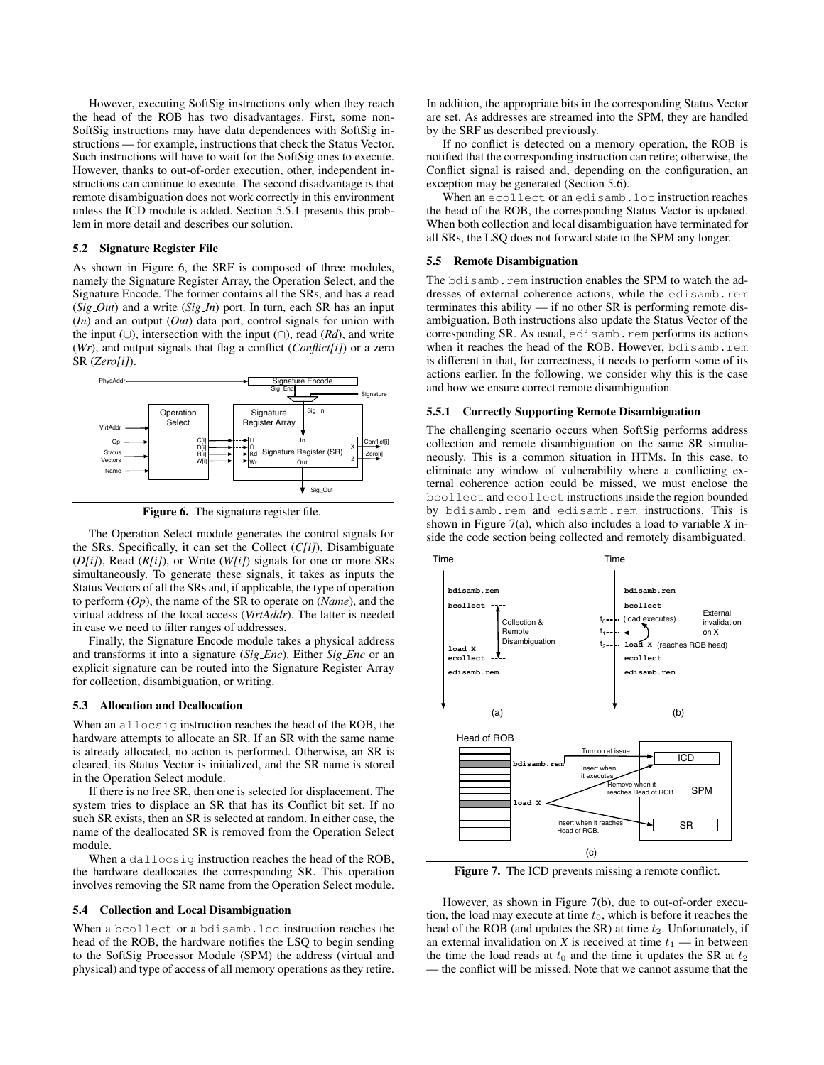However, executing SoftSig instructions only when they reach the head of the ROB has two disadvantages. First, some non-SoftSig instructions may have data dependences with SoftSig instructions — for example, instructions that check the Status Vector. Such instructions will have to wait for the SoftSig ones to execute. However, thanks to out-of-order execution, other, independent instructions can continue to execute. The second disadvantage is that remote disambiguation does not work correctly in this environment unless the ICD module is added. Section 5.5.1 presents this problem in more detail and describes our solution.

## 5.2 Signature Register File

As shown in Figure 6, the SRF is composed of three modules, namely the Signature Register Array, the Operation Select, and the Signature Encode. The former contains all the SRs, and has a read (*Sig Out*) and a write (*Sig In*) port. In turn, each SR has an input (*In*) and an output (*Out*) data port, control signals for union with the input (∪), intersection with the input (∩), read (*Rd*), and write (*Wr*), and output signals that flag a conflict (*Conflict[i]*) or a zero SR (*Zero[i]*).



Figure 6. The signature register file.

The Operation Select module generates the control signals for the SRs. Specifically, it can set the Collect (*C[i]*), Disambiguate (*D[i]*), Read (*R[i]*), or Write (*W[i]*) signals for one or more SRs simultaneously. To generate these signals, it takes as inputs the Status Vectors of all the SRs and, if applicable, the type of operation to perform (*Op*), the name of the SR to operate on (*Name*), and the virtual address of the local access (*VirtAddr*). The latter is needed in case we need to filter ranges of addresses.

Finally, the Signature Encode module takes a physical address and transforms it into a signature (*Sig Enc*). Either *Sig Enc* or an explicit signature can be routed into the Signature Register Array for collection, disambiguation, or writing.

#### 5.3 Allocation and Deallocation

When an allocsig instruction reaches the head of the ROB, the hardware attempts to allocate an SR. If an SR with the same name is already allocated, no action is performed. Otherwise, an SR is cleared, its Status Vector is initialized, and the SR name is stored in the Operation Select module.

If there is no free SR, then one is selected for displacement. The system tries to displace an SR that has its Conflict bit set. If no such SR exists, then an SR is selected at random. In either case, the name of the deallocated SR is removed from the Operation Select module.

When a dallocsig instruction reaches the head of the ROB, the hardware deallocates the corresponding SR. This operation involves removing the SR name from the Operation Select module.

#### 5.4 Collection and Local Disambiguation

When a bcollect or a bdisamb.loc instruction reaches the head of the ROB, the hardware notifies the LSQ to begin sending to the SoftSig Processor Module (SPM) the address (virtual and physical) and type of access of all memory operations as they retire.

In addition, the appropriate bits in the corresponding Status Vector are set. As addresses are streamed into the SPM, they are handled by the SRF as described previously.

If no conflict is detected on a memory operation, the ROB is notified that the corresponding instruction can retire; otherwise, the Conflict signal is raised and, depending on the configuration, an exception may be generated (Section 5.6).

When an ecollect or an edisamb.loc instruction reaches the head of the ROB, the corresponding Status Vector is updated. When both collection and local disambiguation have terminated for all SRs, the LSQ does not forward state to the SPM any longer.

#### 5.5 Remote Disambiguation

The bdisamb.rem instruction enables the SPM to watch the addresses of external coherence actions, while the edisamb.rem terminates this ability — if no other SR is performing remote disambiguation. Both instructions also update the Status Vector of the corresponding  $SR$ . As usual, edisamb.rem performs its actions when it reaches the head of the ROB. However, bdisamb.rem is different in that, for correctness, it needs to perform some of its actions earlier. In the following, we consider why this is the case and how we ensure correct remote disambiguation.

#### 5.5.1 Correctly Supporting Remote Disambiguation

The challenging scenario occurs when SoftSig performs address collection and remote disambiguation on the same SR simultaneously. This is a common situation in HTMs. In this case, to eliminate any window of vulnerability where a conflicting external coherence action could be missed, we must enclose the bcollect and ecollect instructions inside the region bounded by bdisamb.rem and edisamb.rem instructions. This is shown in Figure 7(a), which also includes a load to variable *X* inside the code section being collected and remotely disambiguated.



Figure 7. The ICD prevents missing a remote conflict.

However, as shown in Figure 7(b), due to out-of-order execution, the load may execute at time  $t_0$ , which is before it reaches the head of the ROB (and updates the SR) at time  $t_2$ . Unfortunately, if an external invalidation on *X* is received at time  $t_1$  — in between the time the load reads at  $t_0$  and the time it updates the SR at  $t_2$ — the conflict will be missed. Note that we cannot assume that the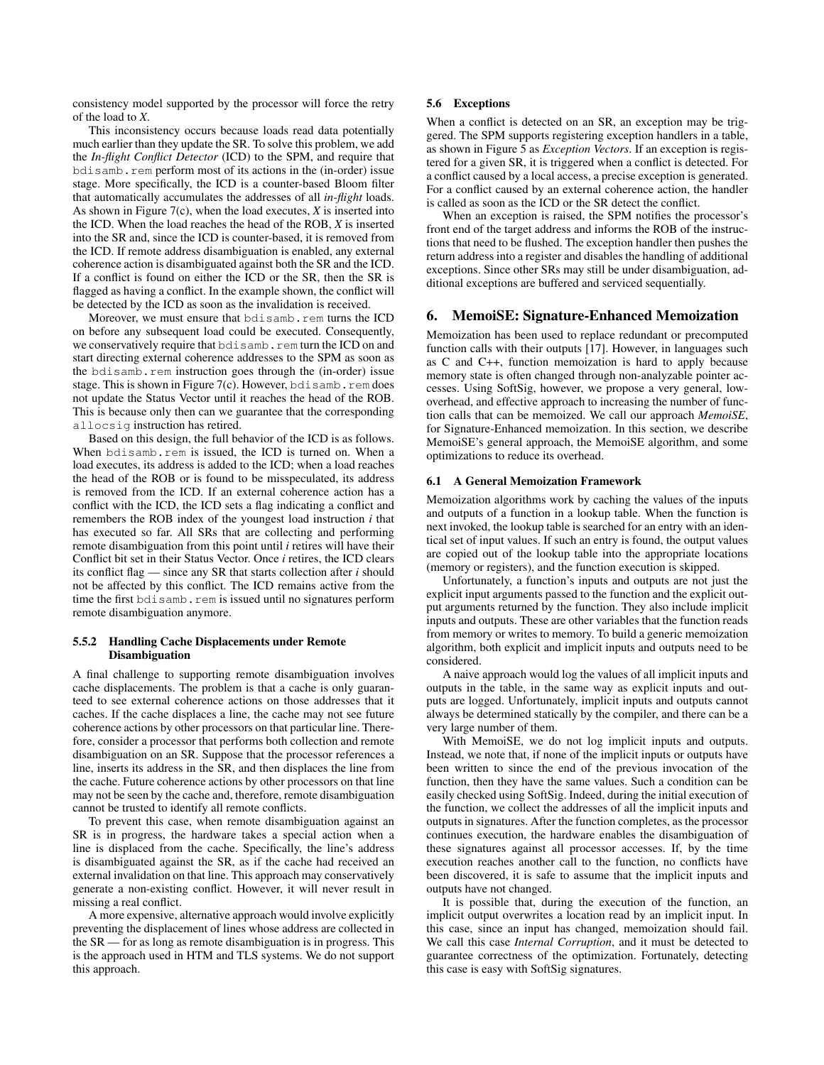consistency model supported by the processor will force the retry of the load to *X*.

This inconsistency occurs because loads read data potentially much earlier than they update the SR. To solve this problem, we add the *In-flight Conflict Detector* (ICD) to the SPM, and require that bdisamb.rem perform most of its actions in the (in-order) issue stage. More specifically, the ICD is a counter-based Bloom filter that automatically accumulates the addresses of all *in-flight* loads. As shown in Figure 7(c), when the load executes, *X* is inserted into the ICD. When the load reaches the head of the ROB, *X* is inserted into the SR and, since the ICD is counter-based, it is removed from the ICD. If remote address disambiguation is enabled, any external coherence action is disambiguated against both the SR and the ICD. If a conflict is found on either the ICD or the SR, then the SR is flagged as having a conflict. In the example shown, the conflict will be detected by the ICD as soon as the invalidation is received.

Moreover, we must ensure that bdisamb.rem turns the ICD on before any subsequent load could be executed. Consequently, we conservatively require that bdisamb.rem turn the ICD on and start directing external coherence addresses to the SPM as soon as the bdisamb.rem instruction goes through the (in-order) issue stage. This is shown in Figure 7(c). However, bdisamb.rem does not update the Status Vector until it reaches the head of the ROB. This is because only then can we guarantee that the corresponding allocsig instruction has retired.

Based on this design, the full behavior of the ICD is as follows. When bdisamb.rem is issued, the ICD is turned on. When a load executes, its address is added to the ICD; when a load reaches the head of the ROB or is found to be misspeculated, its address is removed from the ICD. If an external coherence action has a conflict with the ICD, the ICD sets a flag indicating a conflict and remembers the ROB index of the youngest load instruction *i* that has executed so far. All SRs that are collecting and performing remote disambiguation from this point until *i* retires will have their Conflict bit set in their Status Vector. Once *i* retires, the ICD clears its conflict flag — since any SR that starts collection after *i* should not be affected by this conflict. The ICD remains active from the time the first bdisamb.rem is issued until no signatures perform remote disambiguation anymore.

#### 5.5.2 Handling Cache Displacements under Remote Disambiguation

A final challenge to supporting remote disambiguation involves cache displacements. The problem is that a cache is only guaranteed to see external coherence actions on those addresses that it caches. If the cache displaces a line, the cache may not see future coherence actions by other processors on that particular line. Therefore, consider a processor that performs both collection and remote disambiguation on an SR. Suppose that the processor references a line, inserts its address in the SR, and then displaces the line from the cache. Future coherence actions by other processors on that line may not be seen by the cache and, therefore, remote disambiguation cannot be trusted to identify all remote conflicts.

To prevent this case, when remote disambiguation against an SR is in progress, the hardware takes a special action when a line is displaced from the cache. Specifically, the line's address is disambiguated against the SR, as if the cache had received an external invalidation on that line. This approach may conservatively generate a non-existing conflict. However, it will never result in missing a real conflict.

A more expensive, alternative approach would involve explicitly preventing the displacement of lines whose address are collected in the SR — for as long as remote disambiguation is in progress. This is the approach used in HTM and TLS systems. We do not support this approach.

## 5.6 Exceptions

When a conflict is detected on an SR, an exception may be triggered. The SPM supports registering exception handlers in a table, as shown in Figure 5 as *Exception Vectors*. If an exception is registered for a given SR, it is triggered when a conflict is detected. For a conflict caused by a local access, a precise exception is generated. For a conflict caused by an external coherence action, the handler is called as soon as the ICD or the SR detect the conflict.

When an exception is raised, the SPM notifies the processor's front end of the target address and informs the ROB of the instructions that need to be flushed. The exception handler then pushes the return address into a register and disables the handling of additional exceptions. Since other SRs may still be under disambiguation, additional exceptions are buffered and serviced sequentially.

## 6. MemoiSE: Signature-Enhanced Memoization

Memoization has been used to replace redundant or precomputed function calls with their outputs [17]. However, in languages such as C and C++, function memoization is hard to apply because memory state is often changed through non-analyzable pointer accesses. Using SoftSig, however, we propose a very general, lowoverhead, and effective approach to increasing the number of function calls that can be memoized. We call our approach *MemoiSE*, for Signature-Enhanced memoization. In this section, we describe MemoiSE's general approach, the MemoiSE algorithm, and some optimizations to reduce its overhead.

#### 6.1 A General Memoization Framework

Memoization algorithms work by caching the values of the inputs and outputs of a function in a lookup table. When the function is next invoked, the lookup table is searched for an entry with an identical set of input values. If such an entry is found, the output values are copied out of the lookup table into the appropriate locations (memory or registers), and the function execution is skipped.

Unfortunately, a function's inputs and outputs are not just the explicit input arguments passed to the function and the explicit output arguments returned by the function. They also include implicit inputs and outputs. These are other variables that the function reads from memory or writes to memory. To build a generic memoization algorithm, both explicit and implicit inputs and outputs need to be considered.

A naive approach would log the values of all implicit inputs and outputs in the table, in the same way as explicit inputs and outputs are logged. Unfortunately, implicit inputs and outputs cannot always be determined statically by the compiler, and there can be a very large number of them.

With MemoiSE, we do not log implicit inputs and outputs. Instead, we note that, if none of the implicit inputs or outputs have been written to since the end of the previous invocation of the function, then they have the same values. Such a condition can be easily checked using SoftSig. Indeed, during the initial execution of the function, we collect the addresses of all the implicit inputs and outputs in signatures. After the function completes, as the processor continues execution, the hardware enables the disambiguation of these signatures against all processor accesses. If, by the time execution reaches another call to the function, no conflicts have been discovered, it is safe to assume that the implicit inputs and outputs have not changed.

It is possible that, during the execution of the function, an implicit output overwrites a location read by an implicit input. In this case, since an input has changed, memoization should fail. We call this case *Internal Corruption*, and it must be detected to guarantee correctness of the optimization. Fortunately, detecting this case is easy with SoftSig signatures.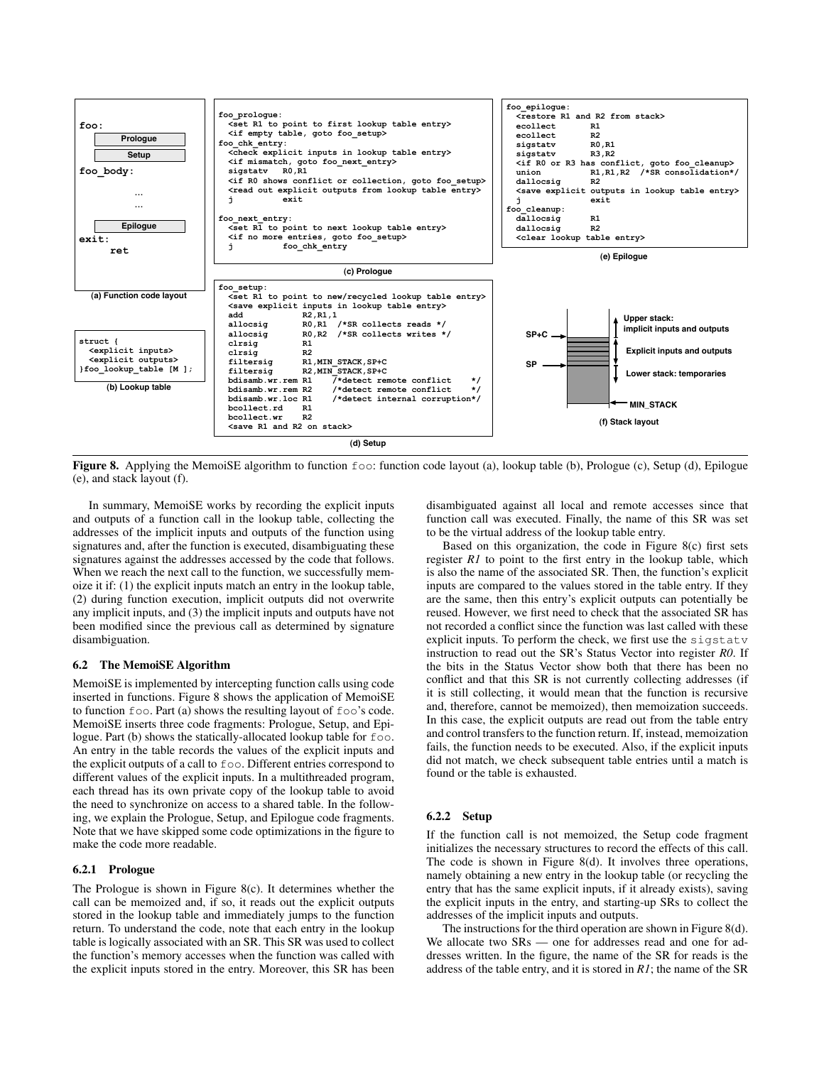

Figure 8. Applying the MemoiSE algorithm to function foo: function code layout (a), lookup table (b), Prologue (c), Setup (d), Epilogue (e), and stack layout (f).

In summary, MemoiSE works by recording the explicit inputs and outputs of a function call in the lookup table, collecting the addresses of the implicit inputs and outputs of the function using signatures and, after the function is executed, disambiguating these signatures against the addresses accessed by the code that follows. When we reach the next call to the function, we successfully memoize it if: (1) the explicit inputs match an entry in the lookup table, (2) during function execution, implicit outputs did not overwrite any implicit inputs, and (3) the implicit inputs and outputs have not been modified since the previous call as determined by signature disambiguation.

## 6.2 The MemoiSE Algorithm

MemoiSE is implemented by intercepting function calls using code inserted in functions. Figure 8 shows the application of MemoiSE to function foo. Part (a) shows the resulting layout of foo's code. MemoiSE inserts three code fragments: Prologue, Setup, and Epilogue. Part (b) shows the statically-allocated lookup table for foo. An entry in the table records the values of the explicit inputs and the explicit outputs of a call to foo. Different entries correspond to different values of the explicit inputs. In a multithreaded program, each thread has its own private copy of the lookup table to avoid the need to synchronize on access to a shared table. In the following, we explain the Prologue, Setup, and Epilogue code fragments. Note that we have skipped some code optimizations in the figure to make the code more readable.

#### 6.2.1 Prologue

The Prologue is shown in Figure 8(c). It determines whether the call can be memoized and, if so, it reads out the explicit outputs stored in the lookup table and immediately jumps to the function return. To understand the code, note that each entry in the lookup table is logically associated with an SR. This SR was used to collect the function's memory accesses when the function was called with the explicit inputs stored in the entry. Moreover, this SR has been disambiguated against all local and remote accesses since that function call was executed. Finally, the name of this SR was set to be the virtual address of the lookup table entry.

Based on this organization, the code in Figure 8(c) first sets register *R1* to point to the first entry in the lookup table, which is also the name of the associated SR. Then, the function's explicit inputs are compared to the values stored in the table entry. If they are the same, then this entry's explicit outputs can potentially be reused. However, we first need to check that the associated SR has not recorded a conflict since the function was last called with these explicit inputs. To perform the check, we first use the sigstatv instruction to read out the SR's Status Vector into register *R0*. If the bits in the Status Vector show both that there has been no conflict and that this SR is not currently collecting addresses (if it is still collecting, it would mean that the function is recursive and, therefore, cannot be memoized), then memoization succeeds. In this case, the explicit outputs are read out from the table entry and control transfers to the function return. If, instead, memoization fails, the function needs to be executed. Also, if the explicit inputs did not match, we check subsequent table entries until a match is found or the table is exhausted.

#### 6.2.2 Setup

If the function call is not memoized, the Setup code fragment initializes the necessary structures to record the effects of this call. The code is shown in Figure 8(d). It involves three operations, namely obtaining a new entry in the lookup table (or recycling the entry that has the same explicit inputs, if it already exists), saving the explicit inputs in the entry, and starting-up SRs to collect the addresses of the implicit inputs and outputs.

The instructions for the third operation are shown in Figure 8(d). We allocate two SRs — one for addresses read and one for addresses written. In the figure, the name of the SR for reads is the address of the table entry, and it is stored in *R1*; the name of the SR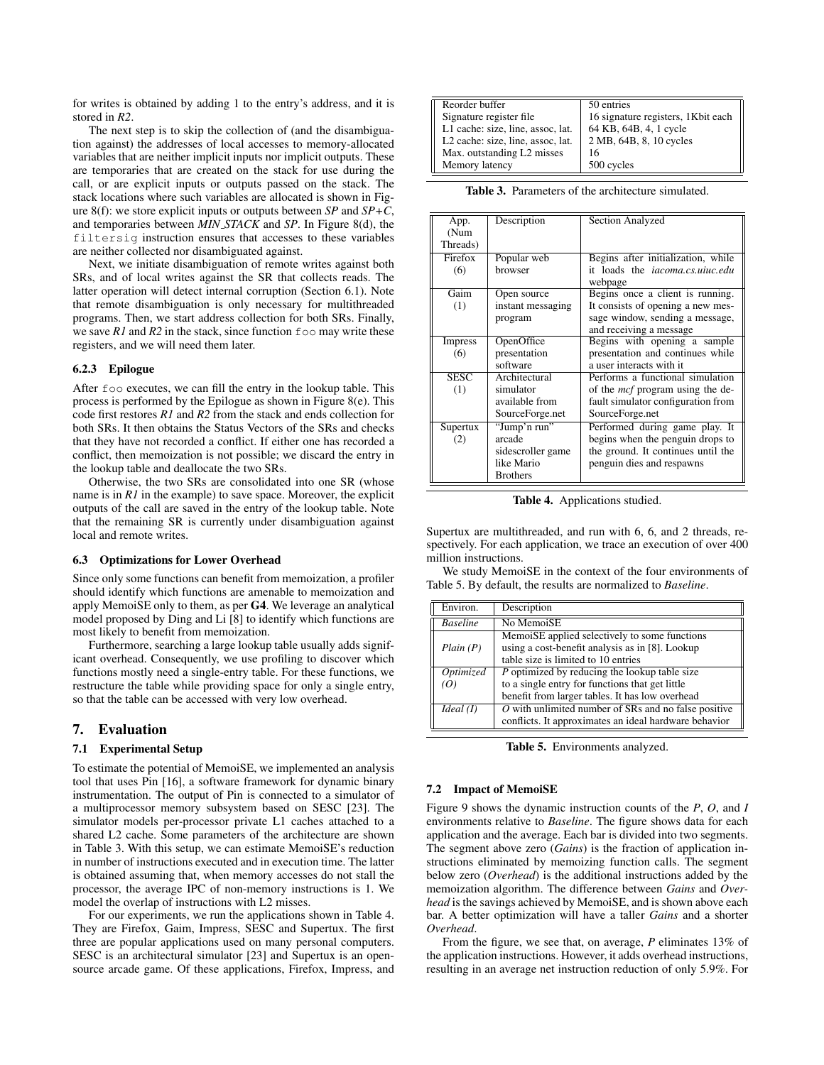for writes is obtained by adding 1 to the entry's address, and it is stored in *R2*.

The next step is to skip the collection of (and the disambiguation against) the addresses of local accesses to memory-allocated variables that are neither implicit inputs nor implicit outputs. These are temporaries that are created on the stack for use during the call, or are explicit inputs or outputs passed on the stack. The stack locations where such variables are allocated is shown in Figure 8(f): we store explicit inputs or outputs between *SP* and *SP+C*, and temporaries between *MIN STACK* and *SP*. In Figure 8(d), the filtersig instruction ensures that accesses to these variables are neither collected nor disambiguated against.

Next, we initiate disambiguation of remote writes against both SRs, and of local writes against the SR that collects reads. The latter operation will detect internal corruption (Section 6.1). Note that remote disambiguation is only necessary for multithreaded programs. Then, we start address collection for both SRs. Finally, we save  $R1$  and  $R2$  in the stack, since function  $f \circ \circ$  may write these registers, and we will need them later.

## 6.2.3 Epilogue

After foo executes, we can fill the entry in the lookup table. This process is performed by the Epilogue as shown in Figure 8(e). This code first restores *R1* and *R2* from the stack and ends collection for both SRs. It then obtains the Status Vectors of the SRs and checks that they have not recorded a conflict. If either one has recorded a conflict, then memoization is not possible; we discard the entry in the lookup table and deallocate the two SRs.

Otherwise, the two SRs are consolidated into one SR (whose name is in *R1* in the example) to save space. Moreover, the explicit outputs of the call are saved in the entry of the lookup table. Note that the remaining SR is currently under disambiguation against local and remote writes.

#### 6.3 Optimizations for Lower Overhead

Since only some functions can benefit from memoization, a profiler should identify which functions are amenable to memoization and apply MemoiSE only to them, as per G4. We leverage an analytical model proposed by Ding and Li [8] to identify which functions are most likely to benefit from memoization.

Furthermore, searching a large lookup table usually adds significant overhead. Consequently, we use profiling to discover which functions mostly need a single-entry table. For these functions, we restructure the table while providing space for only a single entry, so that the table can be accessed with very low overhead.

## 7. Evaluation

#### 7.1 Experimental Setup

To estimate the potential of MemoiSE, we implemented an analysis tool that uses Pin [16], a software framework for dynamic binary instrumentation. The output of Pin is connected to a simulator of a multiprocessor memory subsystem based on SESC [23]. The simulator models per-processor private L1 caches attached to a shared L2 cache. Some parameters of the architecture are shown in Table 3. With this setup, we can estimate MemoiSE's reduction in number of instructions executed and in execution time. The latter is obtained assuming that, when memory accesses do not stall the processor, the average IPC of non-memory instructions is 1. We model the overlap of instructions with L2 misses.

For our experiments, we run the applications shown in Table 4. They are Firefox, Gaim, Impress, SESC and Supertux. The first three are popular applications used on many personal computers. SESC is an architectural simulator [23] and Supertux is an opensource arcade game. Of these applications, Firefox, Impress, and

| 50 entries                         |
|------------------------------------|
| 16 signature registers, 1Kbit each |
| 64 KB, 64B, 4, 1 cycle             |
| 2 MB, 64B, 8, 10 cycles            |
| 16                                 |
| 500 cycles                         |
|                                    |

Table 3. Parameters of the architecture simulated.

| App.        | Description       | <b>Section Analyzed</b>                 |  |  |  |  |  |
|-------------|-------------------|-----------------------------------------|--|--|--|--|--|
| (Num        |                   |                                         |  |  |  |  |  |
| Threads)    |                   |                                         |  |  |  |  |  |
| Firefox     | Popular web       | Begins after initialization, while      |  |  |  |  |  |
| (6)         | browser           | it loads the <i>iacoma.cs.uiuc.edu</i>  |  |  |  |  |  |
|             |                   | webpage                                 |  |  |  |  |  |
| Gaim        | Open source       | Begins once a client is running.        |  |  |  |  |  |
| (1)         | instant messaging | It consists of opening a new mes-       |  |  |  |  |  |
|             | program           | sage window, sending a message,         |  |  |  |  |  |
|             |                   | and receiving a message                 |  |  |  |  |  |
| Impress     | OpenOffice        | Begins with opening a sample            |  |  |  |  |  |
| (6)         | presentation      | presentation and continues while        |  |  |  |  |  |
|             | software          | a user interacts with it                |  |  |  |  |  |
| <b>SESC</b> | Architectural     | Performs a functional simulation        |  |  |  |  |  |
| (1)         | simulator         | of the <i>mcf</i> program using the de- |  |  |  |  |  |
|             | available from    | fault simulator configuration from      |  |  |  |  |  |
|             | SourceForge.net   | SourceForge.net                         |  |  |  |  |  |
| Supertux    | "Jump'n run"      | Performed during game play. It          |  |  |  |  |  |
| (2)         | arcade            | begins when the penguin drops to        |  |  |  |  |  |
|             | sidescroller game | the ground. It continues until the      |  |  |  |  |  |
|             | like Mario        | penguin dies and respawns               |  |  |  |  |  |
|             | <b>Brothers</b>   |                                         |  |  |  |  |  |

Table 4. Applications studied.

Supertux are multithreaded, and run with 6, 6, and 2 threads, respectively. For each application, we trace an execution of over 400 million instructions.

We study MemoiSE in the context of the four environments of Table 5. By default, the results are normalized to *Baseline*.

| Environ.        | Description                                            |  |  |  |
|-----------------|--------------------------------------------------------|--|--|--|
| <b>Baseline</b> | No MemoiSE                                             |  |  |  |
|                 | MemoiSE applied selectively to some functions          |  |  |  |
| Plain (P)       | using a cost-benefit analysis as in [8]. Lookup        |  |  |  |
|                 | table size is limited to 10 entries                    |  |  |  |
| Optimized       | P optimized by reducing the lookup table size          |  |  |  |
| (O)             | to a single entry for functions that get little        |  |  |  |
|                 | benefit from larger tables. It has low overhead        |  |  |  |
| Ideal(I)        | $O$ with unlimited number of SRs and no false positive |  |  |  |
|                 | conflicts. It approximates an ideal hardware behavior  |  |  |  |

Table 5. Environments analyzed.

#### 7.2 Impact of MemoiSE

Figure 9 shows the dynamic instruction counts of the *P*, *O*, and *I* environments relative to *Baseline*. The figure shows data for each application and the average. Each bar is divided into two segments. The segment above zero (*Gains*) is the fraction of application instructions eliminated by memoizing function calls. The segment below zero (*Overhead*) is the additional instructions added by the memoization algorithm. The difference between *Gains* and *Overhead* is the savings achieved by MemoiSE, and is shown above each bar. A better optimization will have a taller *Gains* and a shorter *Overhead*.

From the figure, we see that, on average, *P* eliminates 13% of the application instructions. However, it adds overhead instructions, resulting in an average net instruction reduction of only 5.9%. For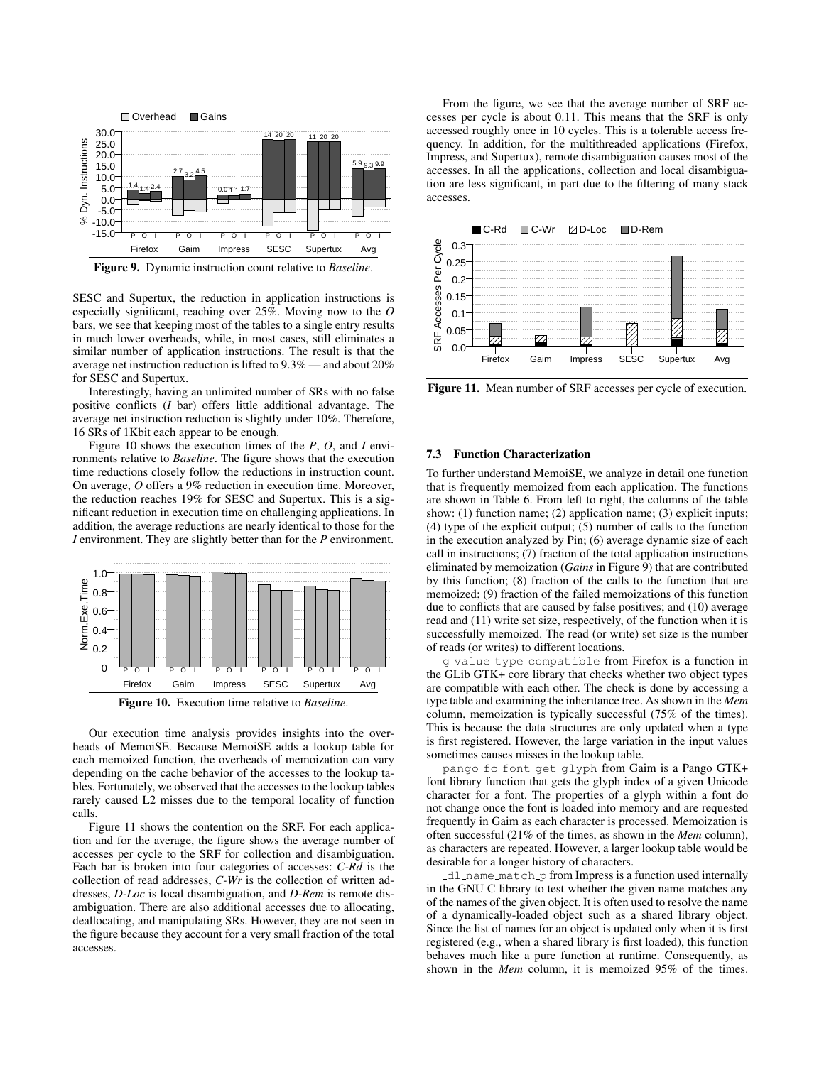

Figure 9. Dynamic instruction count relative to *Baseline*.

SESC and Supertux, the reduction in application instructions is especially significant, reaching over 25%. Moving now to the *O* bars, we see that keeping most of the tables to a single entry results in much lower overheads, while, in most cases, still eliminates a similar number of application instructions. The result is that the average net instruction reduction is lifted to 9.3% — and about 20% for SESC and Supertux.

Interestingly, having an unlimited number of SRs with no false positive conflicts (*I* bar) offers little additional advantage. The average net instruction reduction is slightly under 10%. Therefore, 16 SRs of 1Kbit each appear to be enough.

Figure 10 shows the execution times of the *P*, *O*, and *I* environments relative to *Baseline*. The figure shows that the execution time reductions closely follow the reductions in instruction count. On average, *O* offers a 9% reduction in execution time. Moreover, the reduction reaches 19% for SESC and Supertux. This is a significant reduction in execution time on challenging applications. In addition, the average reductions are nearly identical to those for the *I* environment. They are slightly better than for the *P* environment.



Our execution time analysis provides insights into the overheads of MemoiSE. Because MemoiSE adds a lookup table for each memoized function, the overheads of memoization can vary depending on the cache behavior of the accesses to the lookup tables. Fortunately, we observed that the accesses to the lookup tables rarely caused L2 misses due to the temporal locality of function calls.

Figure 11 shows the contention on the SRF. For each application and for the average, the figure shows the average number of accesses per cycle to the SRF for collection and disambiguation. Each bar is broken into four categories of accesses: *C-Rd* is the collection of read addresses, *C-Wr* is the collection of written addresses, *D-Loc* is local disambiguation, and *D-Rem* is remote disambiguation. There are also additional accesses due to allocating, deallocating, and manipulating SRs. However, they are not seen in the figure because they account for a very small fraction of the total accesses.

From the figure, we see that the average number of SRF accesses per cycle is about 0.11. This means that the SRF is only accessed roughly once in 10 cycles. This is a tolerable access frequency. In addition, for the multithreaded applications (Firefox, Impress, and Supertux), remote disambiguation causes most of the accesses. In all the applications, collection and local disambiguation are less significant, in part due to the filtering of many stack accesses.



Figure 11. Mean number of SRF accesses per cycle of execution.

#### 7.3 Function Characterization

To further understand MemoiSE, we analyze in detail one function that is frequently memoized from each application. The functions are shown in Table 6. From left to right, the columns of the table show: (1) function name; (2) application name; (3) explicit inputs; (4) type of the explicit output; (5) number of calls to the function in the execution analyzed by Pin; (6) average dynamic size of each call in instructions; (7) fraction of the total application instructions eliminated by memoization (*Gains* in Figure 9) that are contributed by this function; (8) fraction of the calls to the function that are memoized; (9) fraction of the failed memoizations of this function due to conflicts that are caused by false positives; and (10) average read and (11) write set size, respectively, of the function when it is successfully memoized. The read (or write) set size is the number of reads (or writes) to different locations.

g value type compatible from Firefox is a function in the GLib GTK+ core library that checks whether two object types are compatible with each other. The check is done by accessing a type table and examining the inheritance tree. As shown in the *Mem* column, memoization is typically successful (75% of the times). This is because the data structures are only updated when a type is first registered. However, the large variation in the input values sometimes causes misses in the lookup table.

pango\_fc\_font\_get\_glyph from Gaim is a Pango GTK+ font library function that gets the glyph index of a given Unicode character for a font. The properties of a glyph within a font do not change once the font is loaded into memory and are requested frequently in Gaim as each character is processed. Memoization is often successful (21% of the times, as shown in the *Mem* column), as characters are repeated. However, a larger lookup table would be desirable for a longer history of characters.

dl name match p from Impress is a function used internally in the GNU C library to test whether the given name matches any of the names of the given object. It is often used to resolve the name of a dynamically-loaded object such as a shared library object. Since the list of names for an object is updated only when it is first registered (e.g., when a shared library is first loaded), this function behaves much like a pure function at runtime. Consequently, as shown in the *Mem* column, it is memoized 95% of the times.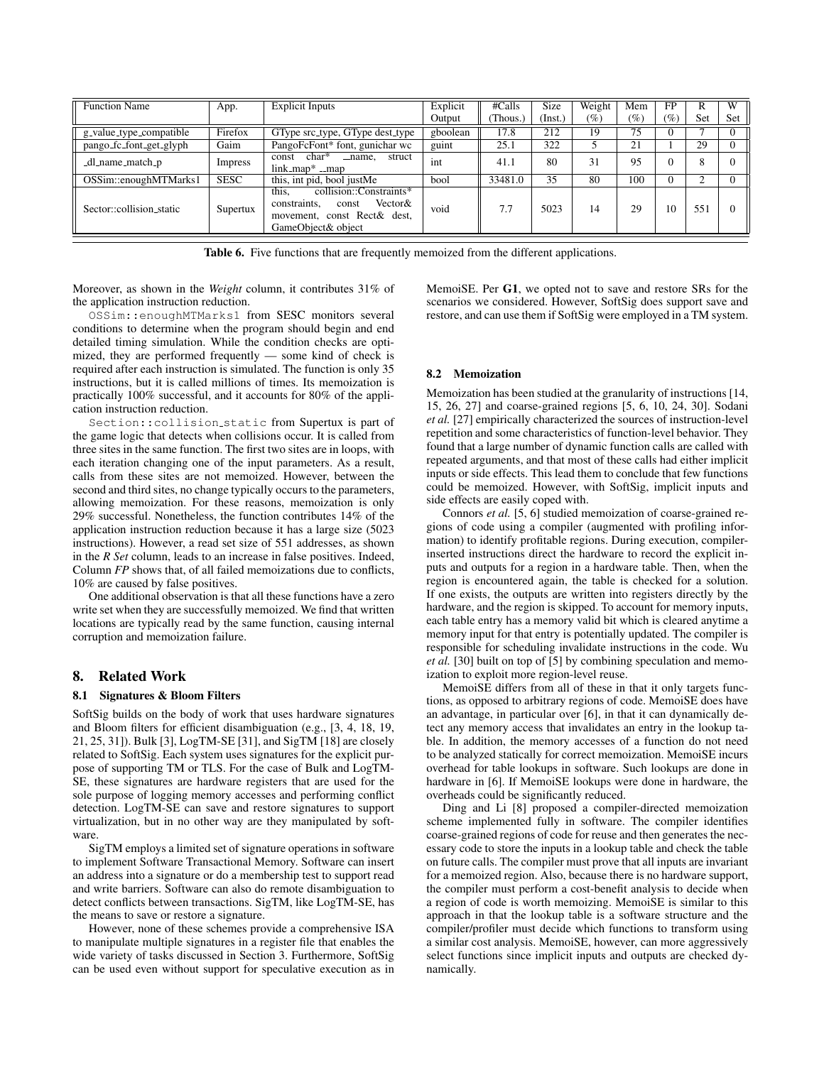| <b>Function Name</b>     | App.        | <b>Explicit Inputs</b>                                                                                                    | Explicit | $\#Calls$ | Size    | Weight | Mem             | FP                  | к   | W   |
|--------------------------|-------------|---------------------------------------------------------------------------------------------------------------------------|----------|-----------|---------|--------|-----------------|---------------------|-----|-----|
|                          |             |                                                                                                                           | Output   | (Thous.)  | (Inst.) | $(\%)$ | $\mathscr{C}_o$ | $\left( \% \right)$ | Set | Set |
| g_value_type_compatible  | Firefox     | GType src_type, GType dest_type                                                                                           | gboolean | 17.8      | 212     | 19     | 75              |                     |     |     |
| pango_fc_font_get_glyph  | Gaim        | PangoFcFont* font, gunichar wc                                                                                            | guint    | 25.1      | 322     |        | 21              |                     | 29  |     |
| _dl_name_match_p         | Impress     | $char*$<br>struct<br>const<br>__name.<br>$link_map^*_{map}$                                                               | int      | 41.1      | 80      | 31     | 95              | $\theta$            | 8   |     |
| OSSim::enoughMTMarks1    | <b>SESC</b> | this, int pid, bool justMe                                                                                                | bool     | 33481.0   | 35      | 80     | 100             | $\theta$            |     |     |
| Sector::collision_static | Supertux    | collision::Constraints*<br>this.<br>Vector&<br>constraints.<br>const<br>movement, const Rect& dest,<br>GameObject& object | void     | 7.7       | 5023    | 14     | 29              | 10                  | 551 |     |

Table 6. Five functions that are frequently memoized from the different applications.

Moreover, as shown in the *Weight* column, it contributes 31% of the application instruction reduction.

OSSim::enoughMTMarks1 from SESC monitors several conditions to determine when the program should begin and end detailed timing simulation. While the condition checks are optimized, they are performed frequently — some kind of check is required after each instruction is simulated. The function is only 35 instructions, but it is called millions of times. Its memoization is practically 100% successful, and it accounts for 80% of the application instruction reduction.

Section::collision static from Supertux is part of the game logic that detects when collisions occur. It is called from three sites in the same function. The first two sites are in loops, with each iteration changing one of the input parameters. As a result, calls from these sites are not memoized. However, between the second and third sites, no change typically occurs to the parameters, allowing memoization. For these reasons, memoization is only 29% successful. Nonetheless, the function contributes 14% of the application instruction reduction because it has a large size (5023 instructions). However, a read set size of 551 addresses, as shown in the *R Set* column, leads to an increase in false positives. Indeed, Column *FP* shows that, of all failed memoizations due to conflicts, 10% are caused by false positives.

One additional observation is that all these functions have a zero write set when they are successfully memoized. We find that written locations are typically read by the same function, causing internal corruption and memoization failure.

## 8. Related Work

#### 8.1 Signatures & Bloom Filters

SoftSig builds on the body of work that uses hardware signatures and Bloom filters for efficient disambiguation (e.g., [3, 4, 18, 19, 21, 25, 31]). Bulk [3], LogTM-SE [31], and SigTM [18] are closely related to SoftSig. Each system uses signatures for the explicit purpose of supporting TM or TLS. For the case of Bulk and LogTM-SE, these signatures are hardware registers that are used for the sole purpose of logging memory accesses and performing conflict detection. LogTM-SE can save and restore signatures to support virtualization, but in no other way are they manipulated by software.

SigTM employs a limited set of signature operations in software to implement Software Transactional Memory. Software can insert an address into a signature or do a membership test to support read and write barriers. Software can also do remote disambiguation to detect conflicts between transactions. SigTM, like LogTM-SE, has the means to save or restore a signature.

However, none of these schemes provide a comprehensive ISA to manipulate multiple signatures in a register file that enables the wide variety of tasks discussed in Section 3. Furthermore, SoftSig can be used even without support for speculative execution as in MemoiSE. Per G1, we opted not to save and restore SRs for the scenarios we considered. However, SoftSig does support save and restore, and can use them if SoftSig were employed in a TM system.

### 8.2 Memoization

Memoization has been studied at the granularity of instructions [14, 15, 26, 27] and coarse-grained regions [5, 6, 10, 24, 30]. Sodani *et al.* [27] empirically characterized the sources of instruction-level repetition and some characteristics of function-level behavior. They found that a large number of dynamic function calls are called with repeated arguments, and that most of these calls had either implicit inputs or side effects. This lead them to conclude that few functions could be memoized. However, with SoftSig, implicit inputs and side effects are easily coped with.

Connors *et al.* [5, 6] studied memoization of coarse-grained regions of code using a compiler (augmented with profiling information) to identify profitable regions. During execution, compilerinserted instructions direct the hardware to record the explicit inputs and outputs for a region in a hardware table. Then, when the region is encountered again, the table is checked for a solution. If one exists, the outputs are written into registers directly by the hardware, and the region is skipped. To account for memory inputs, each table entry has a memory valid bit which is cleared anytime a memory input for that entry is potentially updated. The compiler is responsible for scheduling invalidate instructions in the code. Wu *et al.* [30] built on top of [5] by combining speculation and memoization to exploit more region-level reuse.

MemoiSE differs from all of these in that it only targets functions, as opposed to arbitrary regions of code. MemoiSE does have an advantage, in particular over [6], in that it can dynamically detect any memory access that invalidates an entry in the lookup table. In addition, the memory accesses of a function do not need to be analyzed statically for correct memoization. MemoiSE incurs overhead for table lookups in software. Such lookups are done in hardware in [6]. If MemoiSE lookups were done in hardware, the overheads could be significantly reduced.

Ding and Li [8] proposed a compiler-directed memoization scheme implemented fully in software. The compiler identifies coarse-grained regions of code for reuse and then generates the necessary code to store the inputs in a lookup table and check the table on future calls. The compiler must prove that all inputs are invariant for a memoized region. Also, because there is no hardware support, the compiler must perform a cost-benefit analysis to decide when a region of code is worth memoizing. MemoiSE is similar to this approach in that the lookup table is a software structure and the compiler/profiler must decide which functions to transform using a similar cost analysis. MemoiSE, however, can more aggressively select functions since implicit inputs and outputs are checked dynamically.